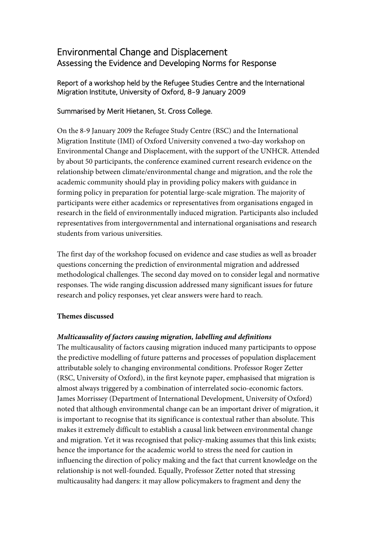# Environmental Change and Displacement Assessing the Evidence and Developing Norms for Response

# Report of a workshop held by the Refugee Studies Centre and the International Migration Institute, University of Oxford, 8-9 January 2009

# Summarised by Merit Hietanen, St. Cross College.

On the 8-9 January 2009 the Refugee Study Centre (RSC) and the International Migration Institute (IMI) of Oxford University convened a two-day workshop on Environmental Change and Displacement, with the support of the UNHCR. Attended by about 50 participants, the conference examined current research evidence on the relationship between climate/environmental change and migration, and the role the academic community should play in providing policy makers with guidance in forming policy in preparation for potential large-scale migration. The majority of participants were either academics or representatives from organisations engaged in research in the field of environmentally induced migration. Participants also included representatives from intergovernmental and international organisations and research students from various universities.

The first day of the workshop focused on evidence and case studies as well as broader questions concerning the prediction of environmental migration and addressed methodological challenges. The second day moved on to consider legal and normative responses. The wide ranging discussion addressed many significant issues for future research and policy responses, yet clear answers were hard to reach.

## **Themes discussed**

## *Multicausality of factors causing migration, labelling and definitions*

The multicausality of factors causing migration induced many participants to oppose the predictive modelling of future patterns and processes of population displacement attributable solely to changing environmental conditions. Professor Roger Zetter (RSC, University of Oxford), in the first keynote paper, emphasised that migration is almost always triggered by a combination of interrelated socio-economic factors. James Morrissey (Department of International Development, University of Oxford) noted that although environmental change can be an important driver of migration, it is important to recognise that its significance is contextual rather than absolute. This makes it extremely difficult to establish a causal link between environmental change and migration. Yet it was recognised that policy-making assumes that this link exists; hence the importance for the academic world to stress the need for caution in influencing the direction of policy making and the fact that current knowledge on the relationship is not well-founded. Equally, Professor Zetter noted that stressing multicausality had dangers: it may allow policymakers to fragment and deny the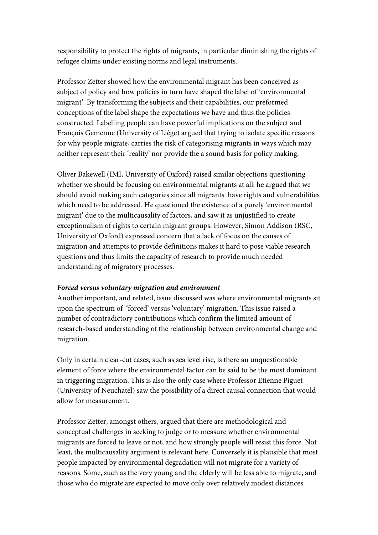responsibility to protect the rights of migrants, in particular diminishing the rights of refugee claims under existing norms and legal instruments.

Professor Zetter showed how the environmental migrant has been conceived as subject of policy and how policies in turn have shaped the label of 'environmental migrant'. By transforming the subjects and their capabilities, our preformed conceptions of the label shape the expectations we have and thus the policies constructed. Labelling people can have powerful implications on the subject and François Gemenne (University of Liège) argued that trying to isolate specific reasons for why people migrate, carries the risk of categorising migrants in ways which may neither represent their 'reality' nor provide the a sound basis for policy making.

Oliver Bakewell (IMI, University of Oxford) raised similar objections questioning whether we should be focusing on environmental migrants at all: he argued that we should avoid making such categories since all migrants have rights and vulnerabilities which need to be addressed. He questioned the existence of a purely 'environmental migrant' due to the multicausality of factors, and saw it as unjustified to create exceptionalism of rights to certain migrant groups. However, Simon Addison (RSC, University of Oxford) expressed concern that a lack of focus on the causes of migration and attempts to provide definitions makes it hard to pose viable research questions and thus limits the capacity of research to provide much needed understanding of migratory processes.

#### *Forced versus voluntary migration and environment*

Another important, and related, issue discussed was where environmental migrants sit upon the spectrum of 'forced' versus 'voluntary' migration. This issue raised a number of contradictory contributions which confirm the limited amount of research-based understanding of the relationship between environmental change and migration.

Only in certain clear-cut cases, such as sea level rise, is there an unquestionable element of force where the environmental factor can be said to be the most dominant in triggering migration. This is also the only case where Professor Etienne Piguet (University of Neuchatel) saw the possibility of a direct causal connection that would allow for measurement.

Professor Zetter, amongst others, argued that there are methodological and conceptual challenges in seeking to judge or to measure whether environmental migrants are forced to leave or not, and how strongly people will resist this force. Not least, the multicausality argument is relevant here. Conversely it is plausible that most people impacted by environmental degradation will not migrate for a variety of reasons. Some, such as the very young and the elderly will be less able to migrate, and those who do migrate are expected to move only over relatively modest distances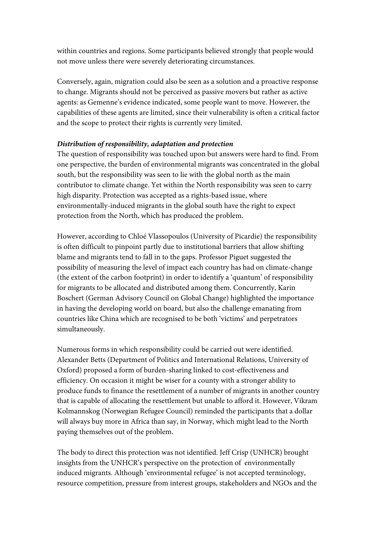within countries and regions. Some participants believed strongly that people would not move unless there were severely deteriorating circumstances.

Conversely, again, migration could also be seen as a solution and a proactive response to change. Migrants should not be perceived as passive movers but rather as active agents: as Gemenne's evidence indicated, some people want to move. However, the capabilities of these agents are limited, since their vulnerability is often a critical factor and the scope to protect their rights is currently very limited.

#### *Distribution of responsibility, adaptation and protection*

The question of responsibility was touched upon but answers were hard to find. From one perspective, the burden of environmental migrants was concentrated in the global south, but the responsibility was seen to lie with the global north as the main contributor to climate change. Yet within the North responsibility was seen to carry high disparity. Protection was accepted as a rights-based issue, where environmentally-induced migrants in the global south have the right to expect protection from the North, which has produced the problem.

However, according to Chloé Vlassopoulos (University of Picardie) the responsibility is often difficult to pinpoint partly due to institutional barriers that allow shifting blame and migrants tend to fall in to the gaps. Professor Piguet suggested the possibility of measuring the level of impact each country has had on climate-change (the extent of the carbon footprint) in order to identify a 'quantum' of responsibility for migrants to be allocated and distributed among them. Concurrently, Karin Boschert (German Advisory Council on Global Change) highlighted the importance in having the developing world on board, but also the challenge emanating from countries like China which are recognised to be both 'victims' and perpetrators simultaneously.

Numerous forms in which responsibility could be carried out were identified. Alexander Betts (Department of Politics and International Relations, University of Oxford) proposed a form of burden-sharing linked to cost-effectiveness and efficiency. On occasion it might be wiser for a county with a stronger ability to produce funds to finance the resettlement of a number of migrants in another country that is capable of allocating the resettlement but unable to afford it. However, Vikram Kolmannskog (Norwegian Refugee Council) reminded the participants that a dollar will always buy more in Africa than say, in Norway, which might lead to the North paying themselves out of the problem.

The body to direct this protection was not identified. Jeff Crisp (UNHCR) brought insights from the UNHCR's perspective on the protection of environmentally induced migrants. Although 'environmental refugee' is not accepted terminology, resource competition, pressure from interest groups, stakeholders and NGOs and the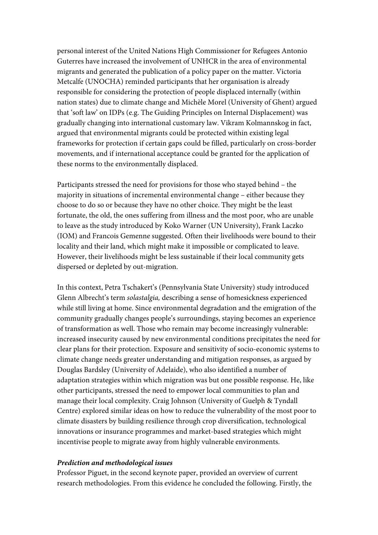personal interest of the United Nations High Commissioner for Refugees Antonio Guterres have increased the involvement of UNHCR in the area of environmental migrants and generated the publication of a policy paper on the matter. Victoria Metcalfe (UNOCHA) reminded participants that her organisation is already responsible for considering the protection of people displaced internally (within nation states) due to climate change and Michèle Morel (University of Ghent) argued that 'soft law' on IDPs (e.g. The Guiding Principles on Internal Displacement) was gradually changing into international customary law. Vikram Kolmannskog in fact, argued that environmental migrants could be protected within existing legal frameworks for protection if certain gaps could be filled, particularly on cross-border movements, and if international acceptance could be granted for the application of these norms to the environmentally displaced.

Participants stressed the need for provisions for those who stayed behind – the majority in situations of incremental environmental change – either because they choose to do so or because they have no other choice. They might be the least fortunate, the old, the ones suffering from illness and the most poor, who are unable to leave as the study introduced by Koko Warner (UN University), Frank Laczko (IOM) and Francois Gemenne suggested. Often their livelihoods were bound to their locality and their land, which might make it impossible or complicated to leave. However, their livelihoods might be less sustainable if their local community gets dispersed or depleted by out-migration.

In this context, Petra Tschakert's (Pennsylvania State University) study introduced Glenn Albrecht's term *solastalgia,* describing a sense of homesickness experienced while still living at home. Since environmental degradation and the emigration of the community gradually changes people's surroundings, staying becomes an experience of transformation as well. Those who remain may become increasingly vulnerable: increased insecurity caused by new environmental conditions precipitates the need for clear plans for their protection. Exposure and sensitivity of socio-economic systems to climate change needs greater understanding and mitigation responses, as argued by Douglas Bardsley (University of Adelaide), who also identified a number of adaptation strategies within which migration was but one possible response. He, like other participants, stressed the need to empower local communities to plan and manage their local complexity. Craig Johnson (University of Guelph & Tyndall Centre) explored similar ideas on how to reduce the vulnerability of the most poor to climate disasters by building resilience through crop diversification, technological innovations or insurance programmes and market-based strategies which might incentivise people to migrate away from highly vulnerable environments.

#### *Prediction and methodological issues*

Professor Piguet, in the second keynote paper, provided an overview of current research methodologies. From this evidence he concluded the following. Firstly, the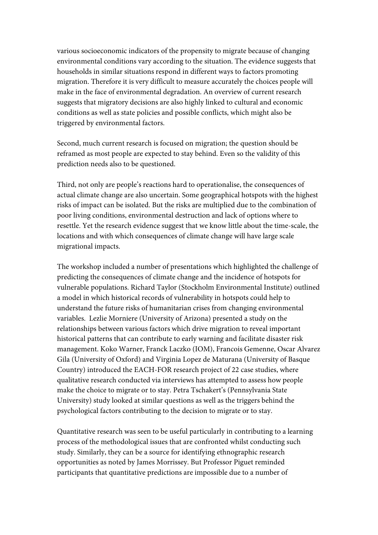various socioeconomic indicators of the propensity to migrate because of changing environmental conditions vary according to the situation. The evidence suggests that households in similar situations respond in different ways to factors promoting migration. Therefore it is very difficult to measure accurately the choices people will make in the face of environmental degradation. An overview of current research suggests that migratory decisions are also highly linked to cultural and economic conditions as well as state policies and possible conflicts, which might also be triggered by environmental factors.

Second, much current research is focused on migration; the question should be reframed as most people are expected to stay behind. Even so the validity of this prediction needs also to be questioned.

Third, not only are people's reactions hard to operationalise, the consequences of actual climate change are also uncertain. Some geographical hotspots with the highest risks of impact can be isolated. But the risks are multiplied due to the combination of poor living conditions, environmental destruction and lack of options where to resettle. Yet the research evidence suggest that we know little about the time-scale, the locations and with which consequences of climate change will have large scale migrational impacts.

The workshop included a number of presentations which highlighted the challenge of predicting the consequences of climate change and the incidence of hotspots for vulnerable populations. Richard Taylor (Stockholm Environmental Institute) outlined a model in which historical records of vulnerability in hotspots could help to understand the future risks of humanitarian crises from changing environmental variables. Lezlie Morniere (University of Arizona) presented a study on the relationships between various factors which drive migration to reveal important historical patterns that can contribute to early warning and facilitate disaster risk management. Koko Warner, Franck Laczko (IOM), Francois Gemenne, Oscar Alvarez Gila (University of Oxford) and Virginia Lopez de Maturana (University of Basque Country) introduced the EACH-FOR research project of 22 case studies, where qualitative research conducted via interviews has attempted to assess how people make the choice to migrate or to stay. Petra Tschakert's (Pennsylvania State University) study looked at similar questions as well as the triggers behind the psychological factors contributing to the decision to migrate or to stay.

Quantitative research was seen to be useful particularly in contributing to a learning process of the methodological issues that are confronted whilst conducting such study. Similarly, they can be a source for identifying ethnographic research opportunities as noted by James Morrissey. But Professor Piguet reminded participants that quantitative predictions are impossible due to a number of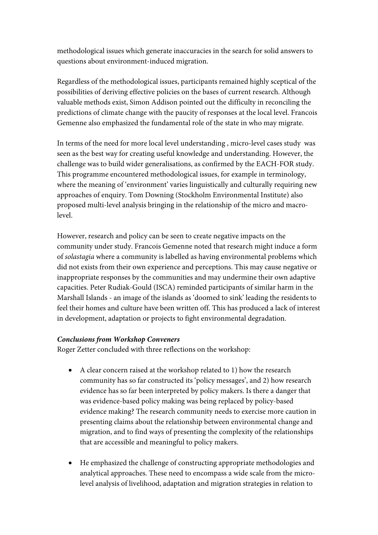methodological issues which generate inaccuracies in the search for solid answers to questions about environment-induced migration.

Regardless of the methodological issues, participants remained highly sceptical of the possibilities of deriving effective policies on the bases of current research. Although valuable methods exist, Simon Addison pointed out the difficulty in reconciling the predictions of climate change with the paucity of responses at the local level. Francois Gemenne also emphasized the fundamental role of the state in who may migrate.

In terms of the need for more local level understanding , micro-level cases study was seen as the best way for creating useful knowledge and understanding. However, the challenge was to build wider generalisations, as confirmed by the EACH-FOR study. This programme encountered methodological issues, for example in terminology, where the meaning of 'environment' varies linguistically and culturally requiring new approaches of enquiry. Tom Downing (Stockholm Environmental Institute) also proposed multi-level analysis bringing in the relationship of the micro and macrolevel.

However, research and policy can be seen to create negative impacts on the community under study. Francois Gemenne noted that research might induce a form of *solastagia* where a community is labelled as having environmental problems which did not exists from their own experience and perceptions. This may cause negative or inappropriate responses by the communities and may undermine their own adaptive capacities. Peter Rudiak-Gould (ISCA) reminded participants of similar harm in the Marshall Islands - an image of the islands as 'doomed to sink' leading the residents to feel their homes and culture have been written off. This has produced a lack of interest in development, adaptation or projects to fight environmental degradation.

#### *Conclusions from Workshop Conveners*

Roger Zetter concluded with three reflections on the workshop:

- A clear concern raised at the workshop related to 1) how the research community has so far constructed its 'policy messages', and 2) how research evidence has so far been interpreted by policy makers. Is there a danger that was evidence-based policy making was being replaced by policy-based evidence making? The research community needs to exercise more caution in presenting claims about the relationship between environmental change and migration, and to find ways of presenting the complexity of the relationships that are accessible and meaningful to policy makers.
- He emphasized the challenge of constructing appropriate methodologies and analytical approaches. These need to encompass a wide scale from the microlevel analysis of livelihood, adaptation and migration strategies in relation to